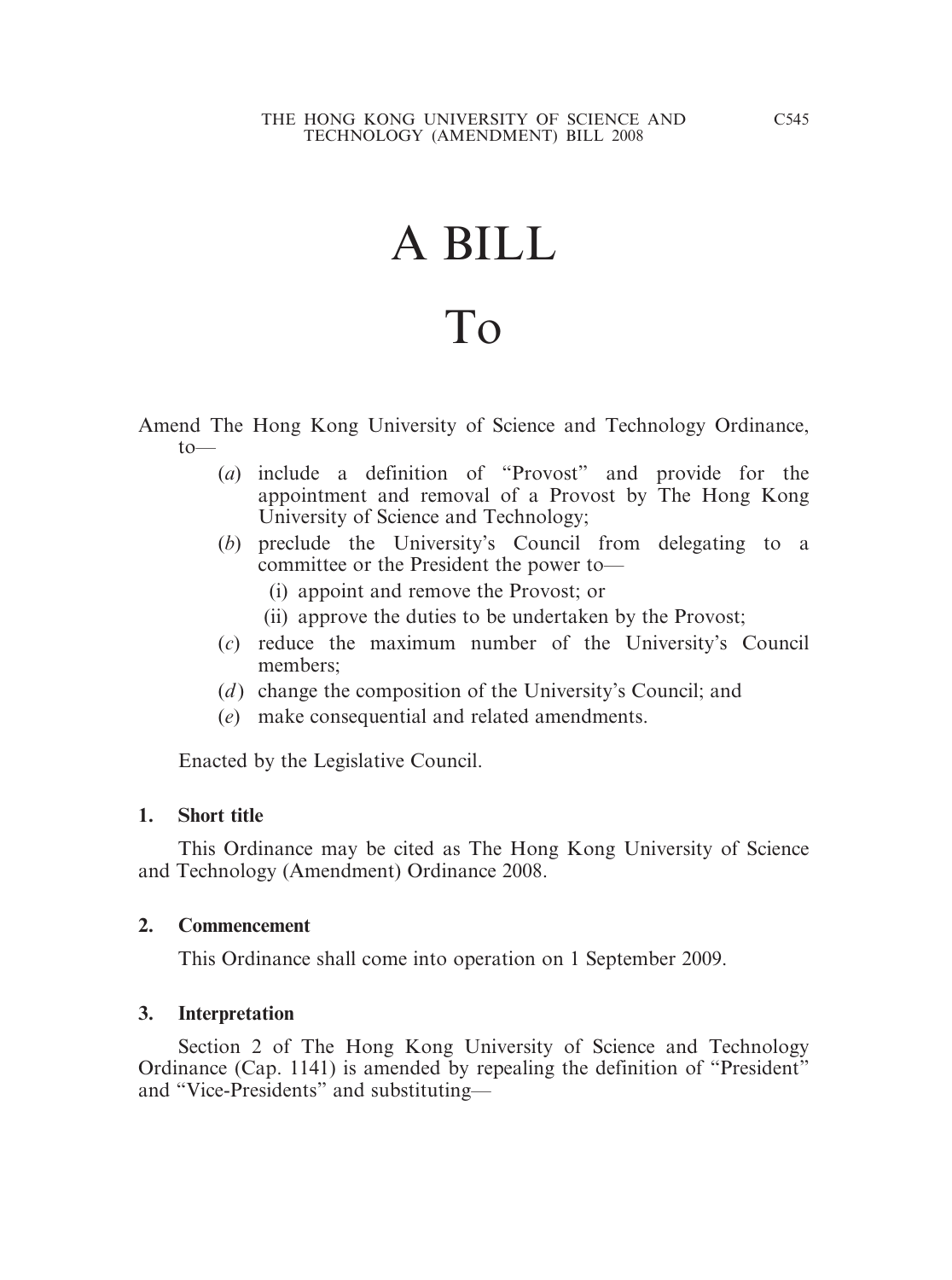# A BILL

# To

Amend The Hong Kong University of Science and Technology Ordinance,  $to$ —

- (*a*) include a definition of "Provost" and provide for the appointment and removal of a Provost by The Hong Kong University of Science and Technology;
- (*b*) preclude the University's Council from delegating to a committee or the President the power to—
	- (i) appoint and remove the Provost; or
	- (ii) approve the duties to be undertaken by the Provost;
- (*c*) reduce the maximum number of the University's Council members;
- (*d*) change the composition of the University's Council; and
- (*e*) make consequential and related amendments.

Enacted by the Legislative Council.

#### **1. Short title**

This Ordinance may be cited as The Hong Kong University of Science and Technology (Amendment) Ordinance 2008.

#### **2. Commencement**

This Ordinance shall come into operation on 1 September 2009.

# **3. Interpretation**

Section 2 of The Hong Kong University of Science and Technology Ordinance (Cap. 1141) is amended by repealing the definition of "President" and "Vice-Presidents" and substituting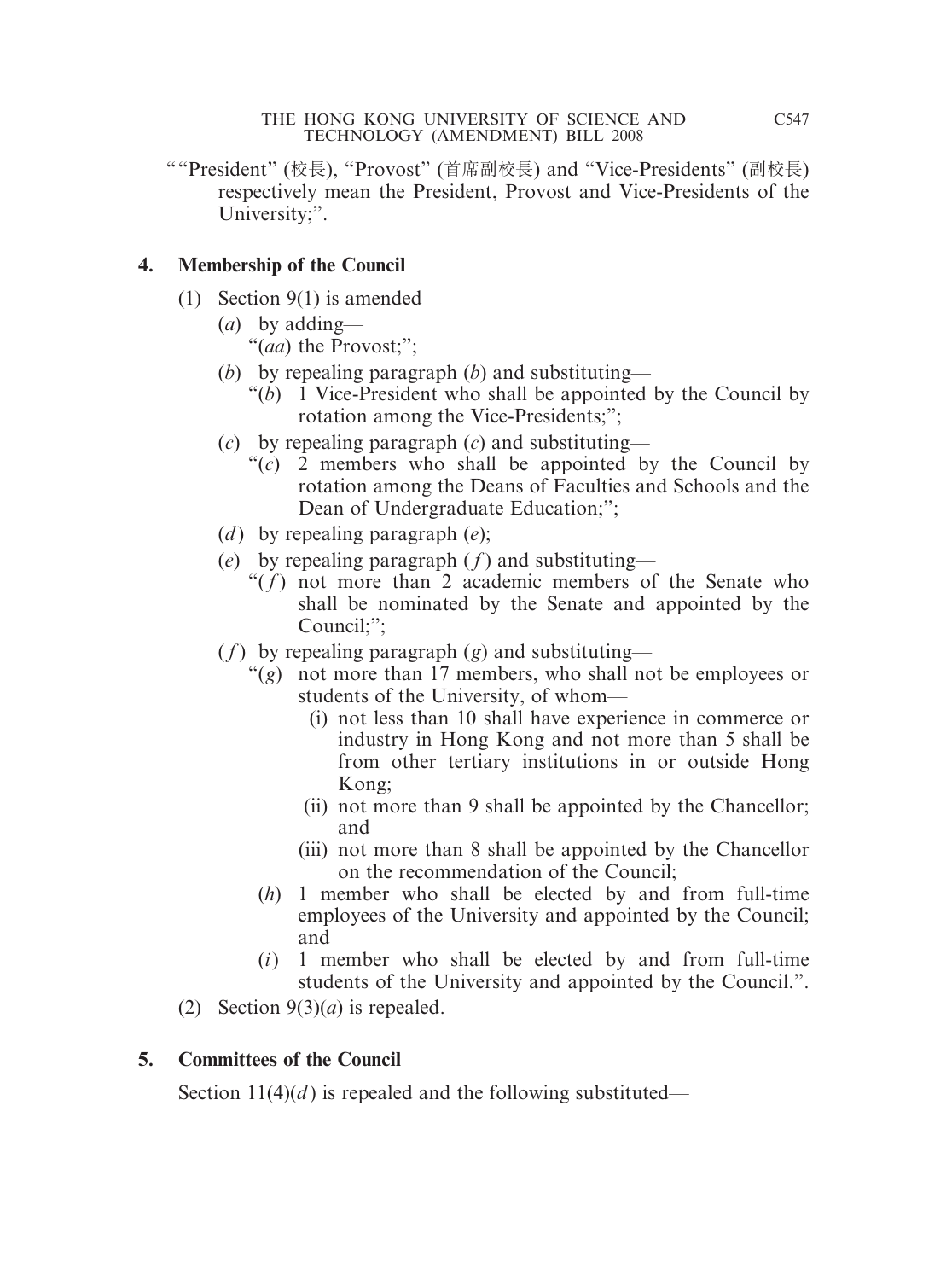""President" (校長), "Provost" (首席副校長) and "Vice-Presidents" (副校長) respectively mean the President, Provost and Vice-Presidents of the University;".

# **4. Membership of the Council**

- (1) Section 9(1) is amended—
	- (*a*) by adding— "(*aa*) the Provost;";
	- (*b*) by repealing paragraph (*b*) and substituting—
		- "(*b*) 1 Vice-President who shall be appointed by the Council by rotation among the Vice-Presidents;";
	- (*c*) by repealing paragraph (*c*) and substituting—
		- "(*c*) 2 members who shall be appointed by the Council by rotation among the Deans of Faculties and Schools and the Dean of Undergraduate Education;";
	- (*d* ) by repealing paragraph (*e*);
	- (*e*) by repealing paragraph  $(f)$  and substituting—
		- " $(f)$  not more than 2 academic members of the Senate who shall be nominated by the Senate and appointed by the Council;";
	- ( $f$ ) by repealing paragraph ( $g$ ) and substituting—
		- "(*g*) not more than 17 members, who shall not be employees or students of the University, of whom—
			- (i) not less than 10 shall have experience in commerce or industry in Hong Kong and not more than 5 shall be from other tertiary institutions in or outside Hong Kong;
			- (ii) not more than 9 shall be appointed by the Chancellor; and
			- (iii) not more than 8 shall be appointed by the Chancellor on the recommendation of the Council;
			- (*h*) 1 member who shall be elected by and from full-time employees of the University and appointed by the Council; and
			- (*i*) 1 member who shall be elected by and from full-time students of the University and appointed by the Council.".
- (2) Section  $9(3)(a)$  is repealed.

# **5. Committees of the Council**

Section  $11(4)(d)$  is repealed and the following substituted—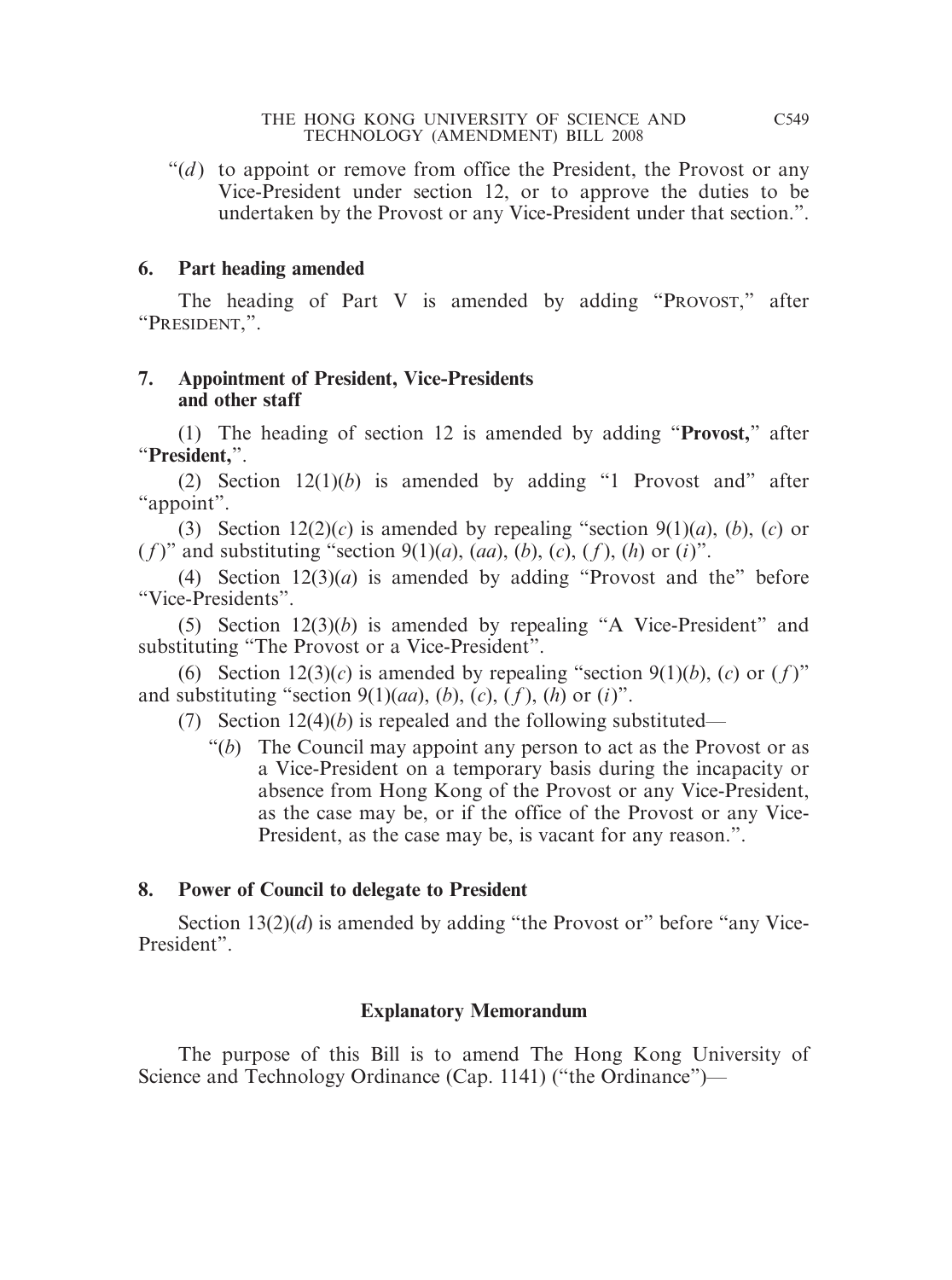" $(d)$  to appoint or remove from office the President, the Provost or any Vice-President under section 12, or to approve the duties to be undertaken by the Provost or any Vice-President under that section.".

## **6. Part heading amended**

The heading of Part V is amended by adding "PROVOST," after "PRESIDENT,".

### **7. Appointment of President, Vice-Presidents and other staff**

(1) The heading of section 12 is amended by adding "**Provost,**" after "**President,**".

(2) Section  $12(1)(b)$  is amended by adding "1 Provost and" after "appoint".

(3) Section  $12(2)(c)$  is amended by repealing "section  $9(1)(a)$ ,  $(b)$ ,  $(c)$  or  $(f)$ " and substituting "section 9(1)(*a*), (*aa*), (*b*), (*c*), (*f*), (*h*) or (*i*)".

(4) Section  $12(3)(a)$  is amended by adding "Provost and the" before "Vice-Presidents".

(5) Section 12(3)(*b*) is amended by repealing "A Vice-President" and substituting "The Provost or a Vice-President".

(6) Section  $12(3)(c)$  is amended by repealing "section  $9(1)(b)$ , (*c*) or (*f*)" and substituting "section  $9(1)(aa)$ ,  $(b)$ ,  $(c)$ ,  $(f)$ ,  $(h)$  or  $(i)$ ".

- (7) Section 12(4)(*b*) is repealed and the following substituted—
	- "(*b*) The Council may appoint any person to act as the Provost or as a Vice-President on a temporary basis during the incapacity or absence from Hong Kong of the Provost or any Vice-President, as the case may be, or if the office of the Provost or any Vice-President, as the case may be, is vacant for any reason.".

# **8. Power of Council to delegate to President**

Section 13(2)(*d*) is amended by adding "the Provost or" before "any Vice-President".

# **Explanatory Memorandum**

The purpose of this Bill is to amend The Hong Kong University of Science and Technology Ordinance (Cap. 1141) ("the Ordinance")—